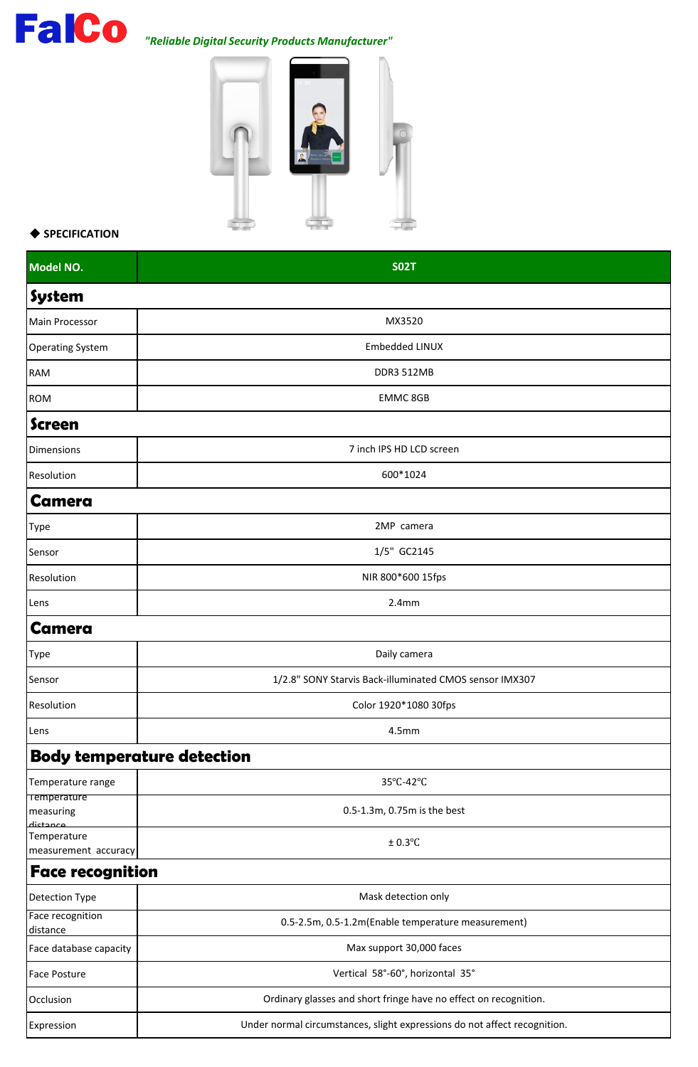## *"Reliable Digital Security Products Manufacturer"*



## ◆ **SPECIFICATION**

| Model NO.                                   | <b>SO2T</b>                                                               |
|---------------------------------------------|---------------------------------------------------------------------------|
| <b>System</b>                               |                                                                           |
| Main Processor                              | MX3520                                                                    |
| <b>Operating System</b>                     | Embedded LINUX                                                            |
| <b>RAM</b>                                  | <b>DDR3 512MB</b>                                                         |
| <b>ROM</b>                                  | <b>EMMC 8GB</b>                                                           |
| <b>Screen</b>                               |                                                                           |
| <b>Dimensions</b>                           | 7 inch IPS HD LCD screen                                                  |
| Resolution                                  | 600*1024                                                                  |
| <b>Camera</b>                               |                                                                           |
| Type                                        | 2MP camera                                                                |
| Sensor                                      | 1/5" GC2145                                                               |
| Resolution                                  | NIR 800*600 15fps                                                         |
| Lens                                        | 2.4 <sub>mm</sub>                                                         |
| <b>Camera</b>                               |                                                                           |
| <b>Type</b>                                 | Daily camera                                                              |
| Sensor                                      | 1/2.8" SONY Starvis Back-illuminated CMOS sensor IMX307                   |
| Resolution                                  | Color 1920*1080 30fps                                                     |
| Lens                                        | 4.5mm                                                                     |
|                                             | <b>Body temperature detection</b>                                         |
| Temperature range                           | 35°C-42°C                                                                 |
| <b>Temperature</b><br>measuring<br>dictance | 0.5-1.3m, 0.75m is the best                                               |
| Temperature<br>measurement accuracy         | $± 0.3$ °C                                                                |
| <b>Face recognition</b>                     |                                                                           |
| <b>Detection Type</b>                       | Mask detection only                                                       |
| Face recognition<br>distance                | 0.5-2.5m, 0.5-1.2m(Enable temperature measurement)                        |
| Face database capacity                      | Max support 30,000 faces                                                  |
| Face Posture                                | Vertical 58°-60°, horizontal 35°                                          |
| Occlusion                                   | Ordinary glasses and short fringe have no effect on recognition.          |
| Expression                                  | Under normal circumstances, slight expressions do not affect recognition. |